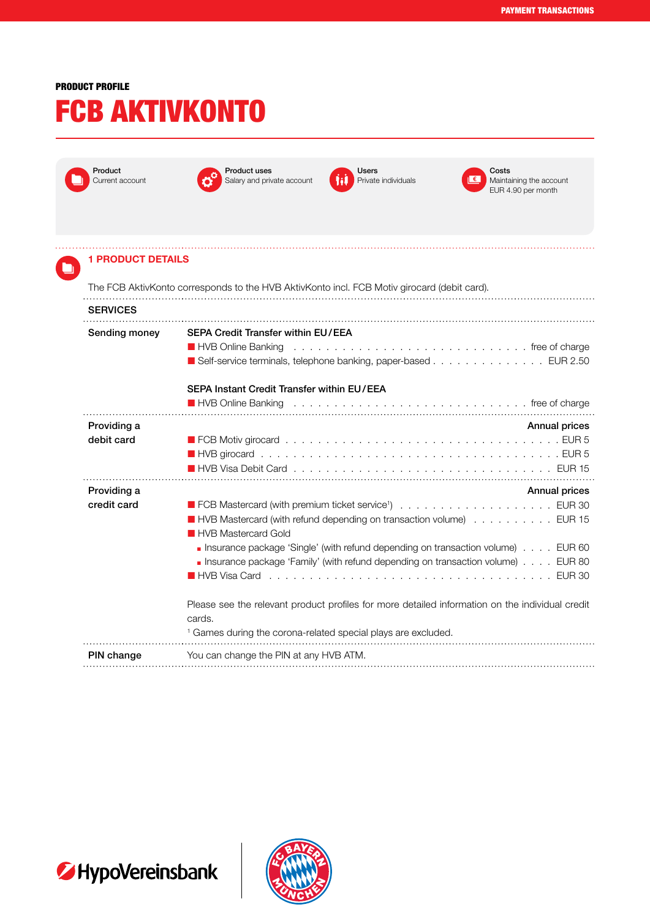## PRODUCT PROFILE FCB AKTIVKONTO

| Product<br>Current account | <b>Product uses</b><br>Salary and private account                                                                                                                                       | Users<br>Private individuals | Costs<br>Maintaining the account<br>EUR 4.90 per month                                                                                                                                                                                                              |
|----------------------------|-----------------------------------------------------------------------------------------------------------------------------------------------------------------------------------------|------------------------------|---------------------------------------------------------------------------------------------------------------------------------------------------------------------------------------------------------------------------------------------------------------------|
| <b>1 PRODUCT DETAILS</b>   |                                                                                                                                                                                         |                              |                                                                                                                                                                                                                                                                     |
|                            | The FCB AktivKonto corresponds to the HVB AktivKonto incl. FCB Motiv girocard (debit card).                                                                                             |                              |                                                                                                                                                                                                                                                                     |
| <b>SERVICES</b>            |                                                                                                                                                                                         |                              |                                                                                                                                                                                                                                                                     |
| Sending money              | <b>SEPA Credit Transfer within EU/EEA</b><br>HVB Online Banking<br>Self-service terminals, telephone banking, paper-based EUR 2.50<br><b>SEPA Instant Credit Transfer within EU/EEA</b> |                              |                                                                                                                                                                                                                                                                     |
|                            | ■ HVB Online Banking                                                                                                                                                                    |                              |                                                                                                                                                                                                                                                                     |
| Providing a<br>debit card  |                                                                                                                                                                                         |                              | <b>Annual prices</b><br>■ HVB Visa Debit Card ,,,,,,,,,,,,,,,,,,,,,,,,,,,,,,,,, EUR 15                                                                                                                                                                              |
| Providing a<br>credit card | <b>HVB Mastercard Gold</b><br>Please see the relevant product profiles for more detailed information on the individual credit                                                           |                              | Annual prices<br>■ HVB Mastercard (with refund depending on transaction volume) EUR 15<br><b>Insurance package 'Single' (with refund depending on transaction volume)</b> EUR 60<br>Insurance package 'Family' (with refund depending on transaction volume) EUR 80 |
|                            | cards.<br><sup>1</sup> Games during the corona-related special plays are excluded.                                                                                                      |                              |                                                                                                                                                                                                                                                                     |
| PIN change                 | You can change the PIN at any HVB ATM.                                                                                                                                                  |                              |                                                                                                                                                                                                                                                                     |



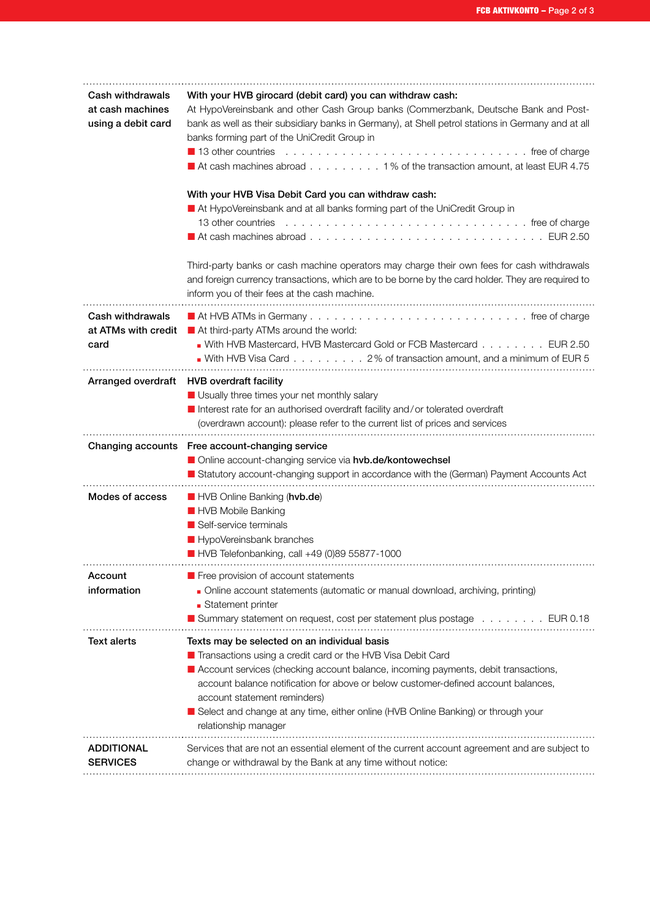| Cash withdrawals<br>at cash machines<br>using a debit card | With your HVB girocard (debit card) you can withdraw cash:<br>At HypoVereinsbank and other Cash Group banks (Commerzbank, Deutsche Bank and Post-<br>bank as well as their subsidiary banks in Germany), at Shell petrol stations in Germany and at all<br>banks forming part of the UniCredit Group in<br>13 other countries<br>At cash machines abroad 1% of the transaction amount, at least EUR 4.75<br>With your HVB Visa Debit Card you can withdraw cash:<br>At HypoVereinsbank and at all banks forming part of the UniCredit Group in<br>13 other countries<br>At cash machines abroad $\ldots \ldots \ldots \ldots \ldots \ldots \ldots \ldots \ldots \ldots \ldots \ldots \in \text{UR } 2.50$<br>Third-party banks or cash machine operators may charge their own fees for cash withdrawals<br>and foreign currency transactions, which are to be borne by the card holder. They are required to<br>inform you of their fees at the cash machine. |
|------------------------------------------------------------|---------------------------------------------------------------------------------------------------------------------------------------------------------------------------------------------------------------------------------------------------------------------------------------------------------------------------------------------------------------------------------------------------------------------------------------------------------------------------------------------------------------------------------------------------------------------------------------------------------------------------------------------------------------------------------------------------------------------------------------------------------------------------------------------------------------------------------------------------------------------------------------------------------------------------------------------------------------|
| Cash withdrawals<br>at ATMs with credit<br>card            | At third-party ATMs around the world:<br>With HVB Mastercard, HVB Mastercard Gold or FCB Mastercard EUR 2.50<br>With HVB Visa Card 2% of transaction amount, and a minimum of EUR 5                                                                                                                                                                                                                                                                                                                                                                                                                                                                                                                                                                                                                                                                                                                                                                           |
|                                                            | Arranged overdraft HVB overdraft facility<br>Usually three times your net monthly salary<br>Interest rate for an authorised overdraft facility and/or tolerated overdraft<br>(overdrawn account): please refer to the current list of prices and services                                                                                                                                                                                                                                                                                                                                                                                                                                                                                                                                                                                                                                                                                                     |
|                                                            | Changing accounts Free account-changing service<br>Online account-changing service via hvb.de/kontowechsel<br>Statutory account-changing support in accordance with the (German) Payment Accounts Act                                                                                                                                                                                                                                                                                                                                                                                                                                                                                                                                                                                                                                                                                                                                                         |
| Modes of access                                            | HVB Online Banking (hvb.de)<br>HVB Mobile Banking<br>Self-service terminals<br>HypoVereinsbank branches<br>HVB Telefonbanking, call +49 (0)89 55877-1000                                                                                                                                                                                                                                                                                                                                                                                                                                                                                                                                                                                                                                                                                                                                                                                                      |
| Account<br>information                                     | <b>Free provision of account statements</b><br>Online account statements (automatic or manual download, archiving, printing)<br>• Statement printer<br>■ Summary statement on request, cost per statement plus postage EUR 0.18                                                                                                                                                                                                                                                                                                                                                                                                                                                                                                                                                                                                                                                                                                                               |
| <b>Text alerts</b>                                         | Texts may be selected on an individual basis<br>Transactions using a credit card or the HVB Visa Debit Card<br>Account services (checking account balance, incoming payments, debit transactions,<br>account balance notification for above or below customer-defined account balances,<br>account statement reminders)<br>Select and change at any time, either online (HVB Online Banking) or through your<br>relationship manager                                                                                                                                                                                                                                                                                                                                                                                                                                                                                                                          |
| <b>ADDITIONAL</b><br><b>SERVICES</b>                       | Services that are not an essential element of the current account agreement and are subject to<br>change or withdrawal by the Bank at any time without notice:                                                                                                                                                                                                                                                                                                                                                                                                                                                                                                                                                                                                                                                                                                                                                                                                |